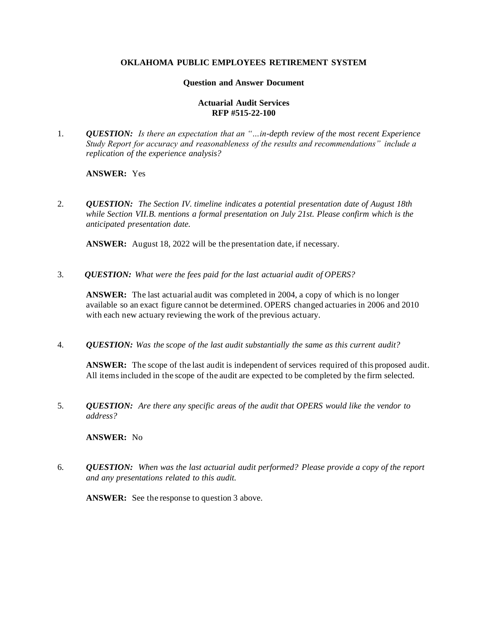## **OKLAHOMA PUBLIC EMPLOYEES RETIREMENT SYSTEM**

### **Question and Answer Document**

## **Actuarial Audit Services RFP #515-22-100**

1. *QUESTION: Is there an expectation that an "…in-depth review of the most recent Experience Study Report for accuracy and reasonableness of the results and recommendations" include a replication of the experience analysis?* 

# **ANSWER:** Yes

2. *QUESTION: The Section IV. timeline indicates a potential presentation date of August 18th while Section VII.B. mentions a formal presentation on July 21st. Please confirm which is the anticipated presentation date.* 

**ANSWER:** August 18, 2022 will be the presentation date, if necessary.

3. *QUESTION: What were the fees paid for the last actuarial audit of OPERS?* 

**ANSWER:** The last actuarial audit was completed in 2004, a copy of which is no longer available so an exact figure cannot be determined. OPERS changed actuaries in 2006 and 2010 with each new actuary reviewing the work of the previous actuary.

4. *QUESTION: Was the scope of the last audit substantially the same as this current audit?* 

**ANSWER:** The scope of the last audit is independent of services required of this proposed audit. All items included in the scope of the audit are expected to be completed by the firm selected.

5. *QUESTION: Are there any specific areas of the audit that OPERS would like the vendor to address?* 

### **ANSWER:** No

6. *QUESTION: When was the last actuarial audit performed? Please provide a copy of the report and any presentations related to this audit.*

ANSWER: See the response to question 3 above.